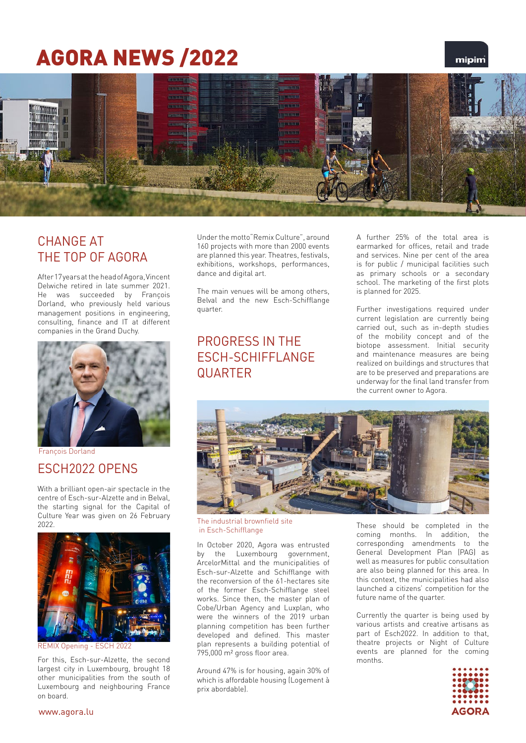# AGORA NEWS /2022

### mipim



### CHANGE AT THE TOP OF AGORA

After 17 years at the head of Agora, Vincent Delwiche retired in late summer 2021. He was succeeded by Francois Dorland, who previously held various management positions in engineering, consulting, finance and IT at different companies in the Grand Duchy.



#### François Dorland

#### ESCH2022 OPENS

With a brilliant open-air spectacle in the centre of Esch-sur-Alzette and in Belval, the starting signal for the Capital of Culture Year was given on 26 February 2022.



K Opening

For this, Esch-sur-Alzette, the second largest city in Luxembourg, brought 18 other municipalities from the south of Luxembourg and neighbouring France on board.

Under the motto"Remix Culture", around 160 projects with more than 2000 events are planned this year. Theatres, festivals, exhibitions, workshops, performances, dance and digital art.

The main venues will be among others, Belval and the new Esch-Schifflange quarter.

### PROGRESS IN THE ESCH-SCHIFFLANGE **QUARTER**

A further 25% of the total area is earmarked for offices, retail and trade and services. Nine per cent of the area is for public / municipal facilities such as primary schools or a secondary school. The marketing of the first plots is planned for 2025.

Further investigations required under current legislation are currently being carried out, such as in-depth studies of the mobility concept and of the biotope assessment. Initial security and maintenance measures are being realized on buildings and structures that are to be preserved and preparations are underway for the final land transfer from the current owner to Agora.



The industrial brownfield site in Esch-Schifflange

In October 2020, Agora was entrusted by the Luxembourg government, ArcelorMittal and the municipalities of Esch-sur-Alzette and Schifflange with the reconversion of the 61-hectares site of the former Esch-Schifflange steel works. Since then, the master plan of Cobe/Urban Agency and Luxplan, who were the winners of the 2019 urban planning competition has been further developed and defined. This master plan represents a building potential of 795,000 m² gross floor area.

Around 47% is for housing, again 30% of which is affordable housing (Logement à prix abordable).

These should be completed in coming months. In addition, the corresponding amendments to the General Development Plan (PAG) as well as measures for public consultation are also being planned for this area. In this context, the municipalities had also launched a citizens' competition for the future name of the quarter.

Currently the quarter is being used by various artists and creative artisans as part of Esch2022. In addition to that, theatre projects or Night of Culture events are planned for the coming months.